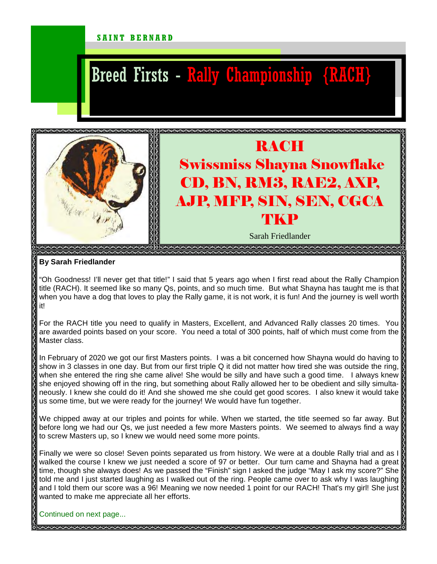#### SAINT BERNARD

# Breed Firsts - Rally Championship {RACH}



#### **By Sarah Friedlander**

"Oh Goodness! I'll never get that title!" I said that 5 years ago when I first read about the Rally Champion title (RACH). It seemed like so many Qs, points, and so much time. But what Shayna has taught me is that when you have a dog that loves to play the Rally game, it is not work, it is fun! And the journey is well worth it!

For the RACH title you need to qualify in Masters, Excellent, and Advanced Rally classes 20 times. You are awarded points based on your score. You need a total of 300 points, half of which must come from the Master class.

In February of 2020 we got our first Masters points. I was a bit concerned how Shayna would do having to show in 3 classes in one day. But from our first triple Q it did not matter how tired she was outside the ring, when she entered the ring she came alive! She would be silly and have such a good time. I always knew she enjoyed showing off in the ring, but something about Rally allowed her to be obedient and silly simultaneously. I knew she could do it! And she showed me she could get good scores. I also knew it would take **b** us some time, but we were ready for the journey! We would have fun together.

We chipped away at our triples and points for while. When we started, the title seemed so far away. But before long we had our Qs, we just needed a few more Masters points. We seemed to always find a way to screw Masters up, so I knew we would need some more points.

Finally we were so close! Seven points separated us from history. We were at a double Rally trial and as I walked the course I knew we just needed a score of 97 or better. Our turn came and Shayna had a great time, though she always does! As we passed the "Finish" sign I asked the judge "May I ask my score?" She told me and I just started laughing as I walked out of the ring. People came over to ask why I was laughing and I told them our score was a 96! Meaning we now needed 1 point for our RACH! That's my girl! She just wanted to make me appreciate all her efforts.

Continued on next page...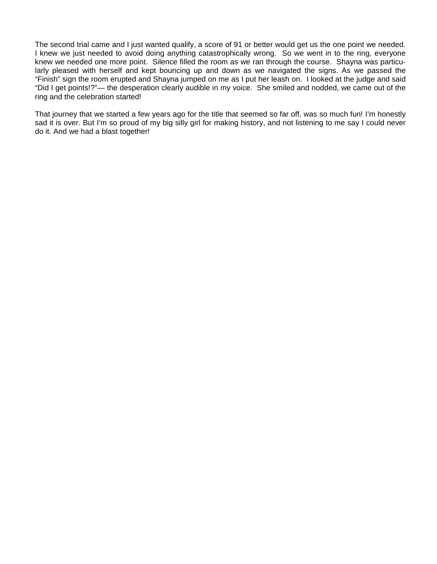The second trial came and I just wanted qualify, a score of 91 or better would get us the one point we needed. I knew we just needed to avoid doing anything catastrophically wrong. So we went in to the ring, everyone knew we needed one more point. Silence filled the room as we ran through the course. Shayna was particularly pleased with herself and kept bouncing up and down as we navigated the signs. As we passed the "Finish" sign the room erupted and Shayna jumped on me as I put her leash on. I looked at the judge and said "Did I get points!?"— the desperation clearly audible in my voice. She smiled and nodded, we came out of the ring and the celebration started!

That journey that we started a few years ago for the title that seemed so far off, was so much fun! I'm honestly sad it is over. But I'm so proud of my big silly girl for making history, and not listening to me say I could never do it. And we had a blast together!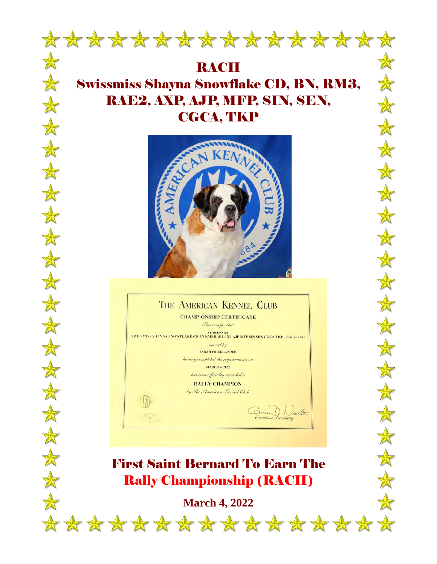

 $\frac{1}{N}$ 

 $\frac{1}{\sqrt{2}}$ 

 $\frac{1}{\sqrt{2}}$ 

 $\frac{1}{\sqrt{2}}$ 

 $\frac{1}{N}$ 

 $\frac{1}{N}$ 

 $\frac{1}{N}$ 

 $\frac{1}{N}$ 

 $\frac{1}{N}$ 

 $\frac{1}{N}$ 

 $\frac{1}{N}$ 

 $\frac{1}{N}$ 

 $\frac{1}{\sqrt{2}}$ 

 $\frac{1}{N}$ 

 $\frac{1}{\sqrt{2}}$ 

 $\frac{1}{N}$ 

 $\frac{1}{\sqrt{2}}$ 

 $\frac{1}{\sqrt{2}}$ 

 $\frac{1}{N}$ 

 $\frac{1}{\sqrt{2}}$ 

 $\frac{1}{\sqrt{2}}$ 

## **RACH** Swissmiss Shayna Snowflake CD, BN, RM3, RAE2, AXP, AJP, MFP, SIN, SEN, CGCA, TKP



### THE AMERICAN KENNEL CLUB

**CHAMPIONSHIP CERTIFICATE** This certifies that **T. BERNARD** SWISSMISS SHAYNA SNOWFLAKE CD BN RM3 RAE2 AXP AJP MFP SIN SEN CGCA TKP - PAL271743 owned by SARAH FRIEDLANDER having completed the requirements on **MARCH 4, 2022** 

> has been officially recorded a **RALLY CHAMPION**

> > lando

by The American Kennel Club

TO

**RICA** 

First Saint Bernard To Earn The Rally Championship (RACH)

**March 4, 2022**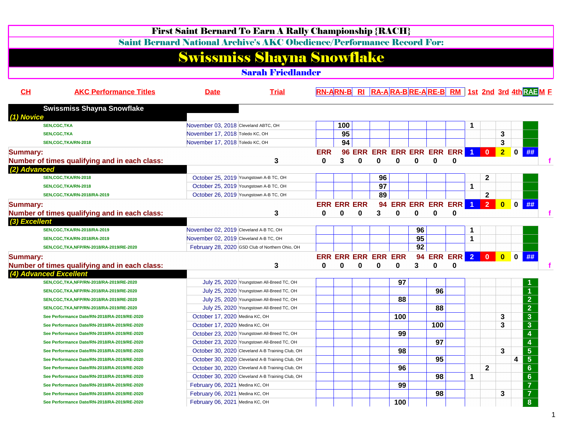|                 |                                               |                                        | <b>First Saint Bernard To Earn A Rally Championship {RACH}</b>                |                    |     |          |                                                   |     |    |                        |              |                      |                |                |              |                         |  |
|-----------------|-----------------------------------------------|----------------------------------------|-------------------------------------------------------------------------------|--------------------|-----|----------|---------------------------------------------------|-----|----|------------------------|--------------|----------------------|----------------|----------------|--------------|-------------------------|--|
|                 |                                               |                                        | <b>Saint Bernard National Archive's AKC Obedience/Performance Record For:</b> |                    |     |          |                                                   |     |    |                        |              |                      |                |                |              |                         |  |
|                 |                                               |                                        | Swissmiss Shayna Snowflake                                                    |                    |     |          |                                                   |     |    |                        |              |                      |                |                |              |                         |  |
|                 |                                               |                                        | <b>Sarah Friedlander</b>                                                      |                    |     |          |                                                   |     |    |                        |              |                      |                |                |              |                         |  |
| CL              | <b>AKC Performance Titles</b>                 | <b>Date</b>                            | <b>Trial</b>                                                                  | <b>RN-ARN-B RI</b> |     |          | <b>RA-ARA-BRE-ARE-B RM 1st 2nd 3rd 4th RAEM F</b> |     |    |                        |              |                      |                |                |              |                         |  |
|                 |                                               |                                        |                                                                               |                    |     |          |                                                   |     |    |                        |              |                      |                |                |              |                         |  |
| (1) Novice      | <b>Swissmiss Shayna Snowflake</b>             |                                        |                                                                               |                    |     |          |                                                   |     |    |                        |              |                      |                |                |              |                         |  |
|                 | <b>SEN,CGC,TKA</b>                            | November 03, 2018 Cleveland ABTC, OH   |                                                                               |                    | 100 |          |                                                   |     |    |                        |              | 1                    |                |                |              |                         |  |
|                 | <b>SEN, CGC, TKA</b>                          | November 17, 2018 Toledo KC, OH        |                                                                               |                    | 95  |          |                                                   |     |    |                        |              |                      |                | 3              |              |                         |  |
|                 | SEN, CGC, TKA/RN-2018                         | November 17, 2018 Toledo KC, OH        |                                                                               |                    | 94  |          |                                                   |     |    |                        |              |                      |                | 3              |              |                         |  |
| <b>Summary:</b> |                                               |                                        |                                                                               | <b>ERR</b>         |     |          | 96 ERR ERR ERR ERR ERR ERR                        |     |    |                        |              | $\blacksquare$       | $\mathbf{0}$   | 2 <sup>1</sup> | $\mathbf 0$  | ##                      |  |
|                 | Number of times qualifying and in each class: |                                        | 3                                                                             | 0                  | 3   | 0        | 0                                                 | 0   | 0  | 0                      | 0            |                      |                |                |              |                         |  |
| (2) Advanced    |                                               |                                        |                                                                               |                    |     |          |                                                   |     |    |                        |              |                      |                |                |              |                         |  |
|                 | SEN,CGC,TKA/RN-2018                           |                                        | October 25, 2019 Youngstown A-B TC, OH                                        |                    |     |          | 96                                                |     |    |                        |              |                      | $\mathbf{2}$   |                |              |                         |  |
|                 | SEN, CGC, TKA/RN-2018                         |                                        | October 25, 2019 Youngstown A-B TC, OH                                        |                    |     |          | 97                                                |     |    |                        |              | $\mathbf 1$          |                |                |              |                         |  |
|                 | SEN, CGC, TKA/RN-2018/RA-2019                 |                                        | October 26, 2019 Youngstown A-B TC, OH                                        |                    |     |          | 89                                                |     |    |                        |              |                      | $\mathbf{2}$   |                |              |                         |  |
| <b>Summary:</b> |                                               |                                        |                                                                               | <b>ERR ERR ERR</b> |     |          | 94                                                |     |    | <b>ERR ERR ERR ERR</b> |              | $\blacktriangleleft$ | $\overline{2}$ | $\mathbf{0}$   | $\mathbf{0}$ | ##                      |  |
|                 | Number of times qualifying and in each class: |                                        | 3                                                                             | 0                  | 0   | 0        | 3                                                 | 0   | 0  | 0                      | 0            |                      |                |                |              |                         |  |
| (3) Excellent   |                                               |                                        |                                                                               |                    |     |          |                                                   |     |    |                        |              |                      |                |                |              |                         |  |
|                 | SEN, CGC, TKA/RN-2018/RA-2019                 | November 02, 2019 Cleveland A-B TC, OH |                                                                               |                    |     |          |                                                   |     | 96 |                        |              | 1                    |                |                |              |                         |  |
|                 | SEN, CGC, TKA/RN-2018/RA-2019                 | November 02, 2019 Cleveland A-B TC, OH |                                                                               |                    |     |          |                                                   |     | 95 |                        |              | 1                    |                |                |              |                         |  |
|                 | SEN, CGC, TKA, NFP/RN-2018/RA-2019/RE-2020    |                                        | February 28, 2020 GSD Club of Northern Ohio, OH                               |                    |     |          |                                                   |     | 92 |                        |              |                      |                |                |              |                         |  |
| <b>Summary:</b> |                                               |                                        |                                                                               |                    |     |          | <b>ERR ERR ERR ERR ERR</b>                        |     |    | 94 ERR ERR             |              | $\overline{2}$       | $\overline{0}$ | $\mathbf{0}$   | $\mathbf{0}$ | ##                      |  |
|                 | Number of times qualifying and in each class: |                                        | 3                                                                             | 0                  | 0   | $\bf{0}$ | $\bf{0}$                                          | 0   | 3  | $\bf{0}$               | $\mathbf{0}$ |                      |                |                |              |                         |  |
|                 | (4) Advanced Excellent                        |                                        |                                                                               |                    |     |          |                                                   |     |    |                        |              |                      |                |                |              |                         |  |
|                 | SEN, CGC, TKA, NFP/RN-2018/RA-2019/RE-2020    |                                        | July 25, 2020 Youngstown All-Breed TC, OH                                     |                    |     |          |                                                   | 97  |    |                        |              |                      |                |                |              |                         |  |
|                 | SEN, CGC, TKA, NFP/RN-2018/RA-2019/RE-2020    |                                        | July 25, 2020 Youngstown All-Breed TC, OH                                     |                    |     |          |                                                   |     |    | 96                     |              |                      |                |                |              |                         |  |
|                 | SEN, CGC, TKA, NFP/RN-2018/RA-2019/RE-2020    |                                        | July 25, 2020 Youngstown All-Breed TC, OH                                     |                    |     |          |                                                   | 88  |    |                        |              |                      |                |                |              | $\overline{2}$          |  |
|                 | SEN, CGC, TKA, NFP/RN-2018/RA-2019/RE-2020    |                                        | July 25, 2020 Youngstown All-Breed TC, OH                                     |                    |     |          |                                                   |     |    | 88                     |              |                      |                |                |              | $\overline{2}$          |  |
|                 | See Performance Date/RN-2018/RA-2019/RE-2020  | October 17, 2020 Medina KC, OH         |                                                                               |                    |     |          |                                                   | 100 |    |                        |              |                      |                | 3              |              | $\overline{\mathbf{3}}$ |  |
|                 | See Performance Date/RN-2018/RA-2019/RE-2020  | October 17, 2020 Medina KC, OH         |                                                                               |                    |     |          |                                                   |     |    | 100                    |              |                      |                | 3              |              | $\overline{3}$          |  |
|                 | See Performance Date/RN-2018/RA-2019/RE-2020  |                                        | October 23, 2020 Youngstown All-Breed TC, OH                                  |                    |     |          |                                                   | 99  |    |                        |              |                      |                |                |              | $\overline{\mathbf{4}}$ |  |
|                 | See Performance Date/RN-2018/RA-2019/RE-2020  |                                        | October 23, 2020 Youngstown All-Breed TC, OH                                  |                    |     |          |                                                   |     |    | $\overline{97}$        |              |                      |                |                |              |                         |  |
|                 | See Performance Date/RN-2018/RA-2019/RE-2020  |                                        | October 30, 2020 Cleveland A-B Training Club, OH                              |                    |     |          |                                                   | 98  |    |                        |              |                      |                | 3              |              | $\overline{\mathbf{5}}$ |  |
|                 | See Performance Date/RN-2018/RA-2019/RE-2020  |                                        | October 30, 2020 Cleveland A-B Training Club, OH                              |                    |     |          |                                                   |     |    | 95                     |              |                      |                |                | 4            | $\overline{\mathbf{5}}$ |  |
|                 | See Performance Date/RN-2018/RA-2019/RE-2020  |                                        | October 30, 2020 Cleveland A-B Training Club, OH                              |                    |     |          |                                                   | 96  |    |                        |              |                      | $\mathbf{2}$   |                |              | $6\phantom{a}$          |  |
|                 | See Performance Date/RN-2018/RA-2019/RE-2020  |                                        | October 30, 2020 Cleveland A-B Training Club, OH                              |                    |     |          |                                                   |     |    | 98                     |              | $\mathbf 1$          |                |                |              | $6\phantom{a}$          |  |
|                 | See Performance Date/RN-2018/RA-2019/RE-2020  | February 06, 2021 Medina KC, OH        |                                                                               |                    |     |          |                                                   | 99  |    |                        |              |                      |                |                |              | $\overline{7}$          |  |
|                 | See Performance Date/RN-2018/RA-2019/RE-2020  | February 06, 2021 Medina KC, OH        |                                                                               |                    |     |          |                                                   |     |    | 98                     |              |                      |                | 3              |              | $\overline{7}$          |  |
|                 | See Performance Date/RN-2018/RA-2019/RE-2020  | February 06, 2021 Medina KC, OH        |                                                                               |                    |     |          |                                                   | 100 |    |                        |              |                      |                |                |              | 8 <sup>1</sup>          |  |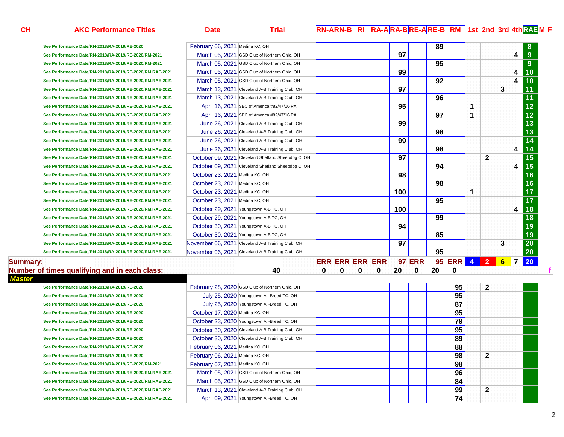| CH              | <b>AKC Performance Titles</b>                            | <b>Date</b>                     | <b>Trial</b>                                       |          |   |   |                        |     |               |    |                 |   |              |   |                            | <b>RN-ARN-B RI RA-ARA-BRE-ARE-B RM 1st 2nd 3rd 4th RAEM F</b> |
|-----------------|----------------------------------------------------------|---------------------------------|----------------------------------------------------|----------|---|---|------------------------|-----|---------------|----|-----------------|---|--------------|---|----------------------------|---------------------------------------------------------------|
|                 | See Performance Date/RN-2018/RA-2019/RE-2020             | February 06, 2021 Medina KC, OH |                                                    |          |   |   |                        |     |               | 89 |                 |   |              |   |                            | 8                                                             |
|                 | See Performance Date/RN-2018/RA-2019/RE-2020/RM-2021     |                                 | March 05, 2021 GSD Club of Northern Ohio, OH       |          |   |   |                        | 97  |               |    |                 |   |              |   | 4                          | 9                                                             |
|                 | See Performance Date/RN-2018/RA-2019/RE-2020/RM-2021     |                                 | March 05, 2021 GSD Club of Northern Ohio, OH       |          |   |   |                        |     |               | 95 |                 |   |              |   |                            | 9                                                             |
|                 | See Performance Date/RN-2018/RA-2019/RE-2020/RM,RAE-2021 |                                 | March 05, 2021 GSD Club of Northern Ohio, OH       |          |   |   |                        | 99  |               |    |                 |   |              |   | 4                          | 10                                                            |
|                 | See Performance Date/RN-2018/RA-2019/RE-2020/RM,RAE-2021 |                                 | March 05, 2021 GSD Club of Northern Ohio, OH       |          |   |   |                        |     |               | 92 |                 |   |              |   |                            | 10                                                            |
|                 | See Performance Date/RN-2018/RA-2019/RE-2020/RM,RAE-2021 |                                 | March 13, 2021 Cleveland A-B Training Club, OH     |          |   |   |                        | 97  |               |    |                 |   |              | 3 |                            | 11                                                            |
|                 | See Performance Date/RN-2018/RA-2019/RE-2020/RM,RAE-2021 |                                 | March 13, 2021 Cleveland A-B Training Club, OH     |          |   |   |                        |     |               | 96 |                 |   |              |   |                            |                                                               |
|                 | See Performance Date/RN-2018/RA-2019/RE-2020/RM,RAE-2021 |                                 | April 16, 2021 SBC of America #82/47/16 PA         |          |   |   |                        | 95  |               |    |                 | 1 |              |   |                            |                                                               |
|                 | See Performance Date/RN-2018/RA-2019/RE-2020/RM,RAE-2021 |                                 | April 16, 2021 SBC of America #82/47/16 PA         |          |   |   |                        |     |               | 97 |                 | 1 |              |   |                            |                                                               |
|                 | See Performance Date/RN-2018/RA-2019/RE-2020/RM,RAE-2021 |                                 | June 26, 2021 Cleveland A-B Training Club, OH      |          |   |   |                        | 99  |               |    |                 |   |              |   |                            | $\overline{13}$                                               |
|                 | See Performance Date/RN-2018/RA-2019/RE-2020/RM,RAE-2021 |                                 | June 26, 2021 Cleveland A-B Training Club, OH      |          |   |   |                        |     |               | 98 |                 |   |              |   |                            | $\overline{13}$                                               |
|                 | See Performance Date/RN-2018/RA-2019/RE-2020/RM,RAE-2021 |                                 | June 26, 2021 Cleveland A-B Training Club, OH      |          |   |   |                        | 99  |               |    |                 |   |              |   |                            | 14                                                            |
|                 | See Performance Date/RN-2018/RA-2019/RE-2020/RM,RAE-2021 |                                 | June 26, 2021 Cleveland A-B Training Club, OH      |          |   |   |                        |     |               | 98 |                 |   |              |   | 4                          | 14                                                            |
|                 | See Performance Date/RN-2018/RA-2019/RE-2020/RM,RAE-2021 |                                 | October 09, 2021 Cleveland Shetland Sheepdog C. OH |          |   |   |                        | 97  |               |    |                 |   | $\mathbf{2}$ |   |                            | 15                                                            |
|                 | See Performance Date/RN-2018/RA-2019/RE-2020/RM,RAE-2021 |                                 | October 09, 2021 Cleveland Shetland Sheepdog C. OH |          |   |   |                        |     |               | 94 |                 |   |              |   | 4                          | 15                                                            |
|                 | See Performance Date/RN-2018/RA-2019/RE-2020/RM,RAE-2021 | October 23, 2021 Medina KC, OH  |                                                    |          |   |   |                        | 98  |               |    |                 |   |              |   |                            | 16                                                            |
|                 | See Performance Date/RN-2018/RA-2019/RE-2020/RM,RAE-2021 | October 23, 2021 Medina KC, OH  |                                                    |          |   |   |                        |     |               | 98 |                 |   |              |   |                            | 16                                                            |
|                 | See Performance Date/RN-2018/RA-2019/RE-2020/RM,RAE-2021 | October 23, 2021 Medina KC, OH  |                                                    |          |   |   |                        | 100 |               |    |                 | 1 |              |   |                            |                                                               |
|                 | See Performance Date/RN-2018/RA-2019/RE-2020/RM,RAE-2021 | October 23, 2021 Medina KC, OH  |                                                    |          |   |   |                        |     |               | 95 |                 |   |              |   |                            |                                                               |
|                 | See Performance Date/RN-2018/RA-2019/RE-2020/RM,RAE-2021 |                                 | October 29, 2021 Youngstown A-B TC, OH             |          |   |   |                        | 100 |               |    |                 |   |              |   | 4                          | 18                                                            |
|                 | See Performance Date/RN-2018/RA-2019/RE-2020/RM,RAE-2021 |                                 | October 29, 2021 Youngstown A-B TC, OH             |          |   |   |                        |     |               | 99 |                 |   |              |   |                            | 18                                                            |
|                 | See Performance Date/RN-2018/RA-2019/RE-2020/RM,RAE-2021 |                                 | October 30, 2021 Youngstown A-B TC, OH             |          |   |   |                        | 94  |               |    |                 |   |              |   |                            | 19                                                            |
|                 | See Performance Date/RN-2018/RA-2019/RE-2020/RM,RAE-2021 |                                 | October 30, 2021 Youngstown A-B TC, OH             |          |   |   |                        |     |               | 85 |                 |   |              |   |                            | $\overline{19}$                                               |
|                 | See Performance Date/RN-2018/RA-2019/RE-2020/RM,RAE-2021 |                                 | November 06, 2021 Cleveland A-B Training Club, OH  |          |   |   |                        | 97  |               |    |                 |   |              | 3 |                            | $\overline{20}$                                               |
|                 | See Performance Date/RN-2018/RA-2019/RE-2020/RM,RAE-2021 |                                 | November 06, 2021 Cleveland A-B Training Club, OH  |          |   |   |                        |     |               | 95 |                 |   |              |   |                            | $\overline{20}$                                               |
| <b>Summary:</b> |                                                          |                                 |                                                    |          |   |   | <b>ERR ERR ERR ERR</b> |     | <b>97 ERR</b> |    | 95 ERR 4 2      |   |              | 6 | $\overline{\phantom{a}}$ 7 | 20                                                            |
|                 | Number of times qualifying and in each class:            |                                 | 40                                                 | $\bf{0}$ | 0 | 0 | $\mathbf{0}$           | 20  | 0             | 20 | 0               |   |              |   |                            |                                                               |
| <b>Master</b>   |                                                          |                                 |                                                    |          |   |   |                        |     |               |    |                 |   |              |   |                            |                                                               |
|                 | See Performance Date/RN-2018/RA-2019/RE-2020             |                                 | February 28, 2020 GSD Club of Northern Ohio, OH    |          |   |   |                        |     |               |    | 95              |   | $\mathbf{2}$ |   |                            |                                                               |
|                 | See Performance Date/RN-2018/RA-2019/RE-2020             |                                 | July 25, 2020 Youngstown All-Breed TC, OH          |          |   |   |                        |     |               |    | 95              |   |              |   |                            |                                                               |
|                 | See Performance Date/RN-2018/RA-2019/RE-2020             |                                 | July 25, 2020 Youngstown All-Breed TC, OH          |          |   |   |                        |     |               |    | $\overline{87}$ |   |              |   |                            |                                                               |
|                 | See Performance Date/RN-2018/RA-2019/RE-2020             | October 17, 2020 Medina KC, OH  |                                                    |          |   |   |                        |     |               |    | 95              |   |              |   |                            |                                                               |
|                 | See Performance Date/RN-2018/RA-2019/RE-2020             |                                 | October 23, 2020 Youngstown All-Breed TC, OH       |          |   |   |                        |     |               |    | $\overline{79}$ |   |              |   |                            |                                                               |
|                 | See Performance Date/RN-2018/RA-2019/RE-2020             |                                 | October 30, 2020 Cleveland A-B Training Club, OH   |          |   |   |                        |     |               |    | 95              |   |              |   |                            |                                                               |
|                 | See Performance Date/RN-2018/RA-2019/RE-2020             |                                 | October 30, 2020 Cleveland A-B Training Club, OH   |          |   |   |                        |     |               |    | 89              |   |              |   |                            |                                                               |
|                 | See Performance Date/RN-2018/RA-2019/RE-2020             | February 06, 2021 Medina KC, OH |                                                    |          |   |   |                        |     |               |    | 88              |   |              |   |                            |                                                               |
|                 | See Performance Date/RN-2018/RA-2019/RE-2020             | February 06, 2021 Medina KC, OH |                                                    |          |   |   |                        |     |               |    | 98              |   | 2            |   |                            |                                                               |
|                 | See Performance Date/RN-2018/RA-2019/RE-2020/RM-2021     | February 07, 2021 Medina KC, OH |                                                    |          |   |   |                        |     |               |    | 98              |   |              |   |                            |                                                               |
|                 | See Performance Date/RN-2018/RA-2019/RE-2020/RM,RAE-2021 |                                 | March 05, 2021 GSD Club of Northern Ohio, OH       |          |   |   |                        |     |               |    | 96              |   |              |   |                            |                                                               |
|                 | See Performance Date/RN-2018/RA-2019/RE-2020/RM,RAE-2021 |                                 | March 05, 2021 GSD Club of Northern Ohio, OH       |          |   |   |                        |     |               |    | 84              |   |              |   |                            |                                                               |
|                 | See Performance Date/RN-2018/RA-2019/RE-2020/RM,RAE-2021 |                                 | March 13, 2021 Cleveland A-B Training Club, OH     |          |   |   |                        |     |               |    | 99              |   | $\mathbf{2}$ |   |                            |                                                               |
|                 | See Performance Date/RN-2018/RA-2019/RE-2020/RM,RAE-2021 |                                 | April 09, 2021 Youngstown All-Breed TC, OH         |          |   |   |                        |     |               |    | 74              |   |              |   |                            |                                                               |
|                 |                                                          |                                 |                                                    |          |   |   |                        |     |               |    |                 |   |              |   |                            |                                                               |